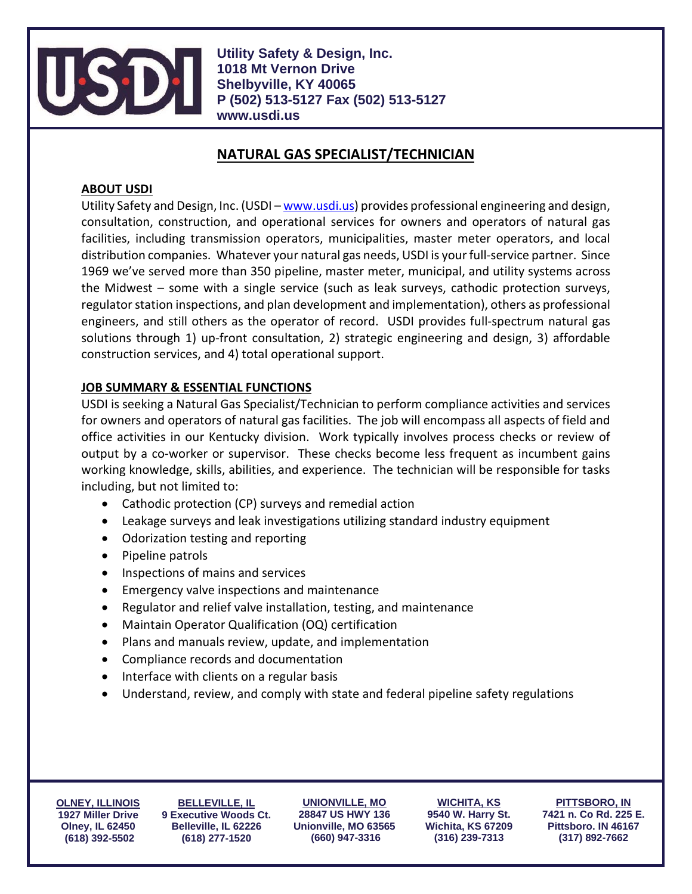

**Utility Safety & Design, Inc. 1018 Mt Vernon Drive Shelbyville, KY 40065 P (502) 513-5127 Fax (502) 513-5127 www.usdi.us**

# **NATURAL GAS SPECIALIST/TECHNICIAN**

## **ABOUT USDI**

Utility Safety and Design, Inc. (USDI – [www.usdi.us\)](http://www.usdi.us/) provides professional engineering and design, consultation, construction, and operational services for owners and operators of natural gas facilities, including transmission operators, municipalities, master meter operators, and local distribution companies. Whatever your natural gas needs, USDI is your full-service partner. Since 1969 we've served more than 350 pipeline, master meter, municipal, and utility systems across the Midwest – some with a single service (such as leak surveys, cathodic protection surveys, regulator station inspections, and plan development and implementation), others as professional engineers, and still others as the operator of record. USDI provides full-spectrum natural gas solutions through 1) up-front consultation, 2) strategic engineering and design, 3) affordable construction services, and 4) total operational support.

## **JOB SUMMARY & ESSENTIAL FUNCTIONS**

USDI is seeking a Natural Gas Specialist/Technician to perform compliance activities and services for owners and operators of natural gas facilities. The job will encompass all aspects of field and office activities in our Kentucky division. Work typically involves process checks or review of output by a co-worker or supervisor. These checks become less frequent as incumbent gains working knowledge, skills, abilities, and experience. The technician will be responsible for tasks including, but not limited to:

- Cathodic protection (CP) surveys and remedial action
- Leakage surveys and leak investigations utilizing standard industry equipment
- Odorization testing and reporting
- Pipeline patrols
- Inspections of mains and services
- Emergency valve inspections and maintenance
- Regulator and relief valve installation, testing, and maintenance
- Maintain Operator Qualification (OQ) certification
- Plans and manuals review, update, and implementation
- Compliance records and documentation
- Interface with clients on a regular basis
- Understand, review, and comply with state and federal pipeline safety regulations

**OLNEY, ILLINOIS 1927 Miller Drive Olney, IL 62450 (618) 392-5502**

**BELLEVILLE, IL 9 Executive Woods Ct. Belleville, IL 62226 (618) 277-1520**

**UNIONVILLE, MO 28847 US HWY 136 Unionville, MO 63565 (660) 947-3316**

**WICHITA, KS 9540 W. Harry St. Wichita, KS 67209 (316) 239-7313**

**PITTSBORO, IN 7421 n. Co Rd. 225 E. Pittsboro. IN 46167 (317) 892-7662**